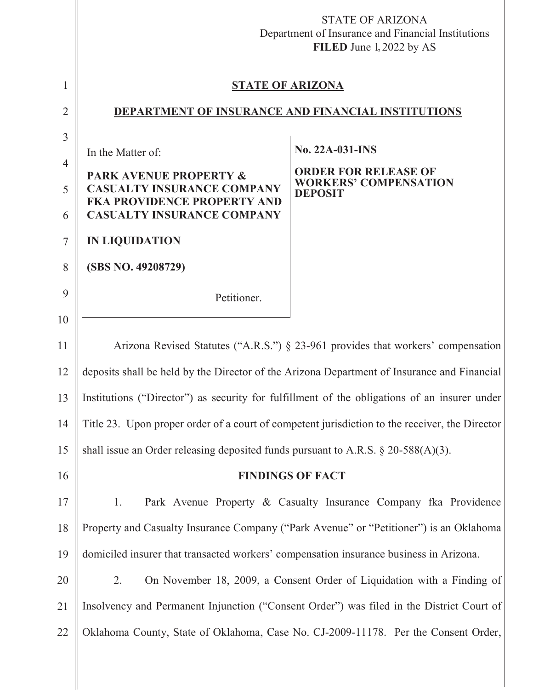|                |                                                                                             | <b>STATE OF ARIZONA</b><br>Department of Insurance and Financial Institutions<br>FILED June 1, 2022 by AS |
|----------------|---------------------------------------------------------------------------------------------|-----------------------------------------------------------------------------------------------------------|
| 1              | <b>STATE OF ARIZONA</b>                                                                     |                                                                                                           |
| $\overline{2}$ | DEPARTMENT OF INSURANCE AND FINANCIAL INSTITUTIONS                                          |                                                                                                           |
| 3              |                                                                                             | No. 22A-031-INS                                                                                           |
| $\overline{4}$ | In the Matter of:<br><b>PARK AVENUE PROPERTY &amp;</b>                                      | <b>ORDER FOR RELEASE OF</b>                                                                               |
| 5              | <b>CASUALTY INSURANCE COMPANY</b><br><b>FKA PROVIDENCE PROPERTY AND</b>                     | <b>WORKERS' COMPENSATION</b><br><b>DEPOSIT</b>                                                            |
| 6              | <b>CASUALTY INSURANCE COMPANY</b>                                                           |                                                                                                           |
| 7              | <b>IN LIQUIDATION</b>                                                                       |                                                                                                           |
| 8              | (SBS NO. 49208729)                                                                          |                                                                                                           |
| 9              | Petitioner.                                                                                 |                                                                                                           |
| 10             |                                                                                             |                                                                                                           |
| 11             | Arizona Revised Statutes ("A.R.S.") § 23-961 provides that workers' compensation            |                                                                                                           |
| 12             | deposits shall be held by the Director of the Arizona Department of Insurance and Financial |                                                                                                           |
| 13             |                                                                                             | Institutions ("Director") as security for fulfillment of the obligations of an insurer under              |
| 14             |                                                                                             | Title 23. Upon proper order of a court of competent jurisdiction to the receiver, the Director            |
| 15             | shall issue an Order releasing deposited funds pursuant to A.R.S. $\S 20-588(A)(3)$ .       |                                                                                                           |
| 16             |                                                                                             | <b>FINDINGS OF FACT</b>                                                                                   |
| 17             | 1.                                                                                          | Park Avenue Property & Casualty Insurance Company fka Providence                                          |
| 18             |                                                                                             | Property and Casualty Insurance Company ("Park Avenue" or "Petitioner") is an Oklahoma                    |
| 19             | domiciled insurer that transacted workers' compensation insurance business in Arizona.      |                                                                                                           |
| 20             | 2.                                                                                          | On November 18, 2009, a Consent Order of Liquidation with a Finding of                                    |
| 21             | Insolvency and Permanent Injunction ("Consent Order") was filed in the District Court of    |                                                                                                           |
| 22             | Oklahoma County, State of Oklahoma, Case No. CJ-2009-11178. Per the Consent Order,          |                                                                                                           |
|                |                                                                                             |                                                                                                           |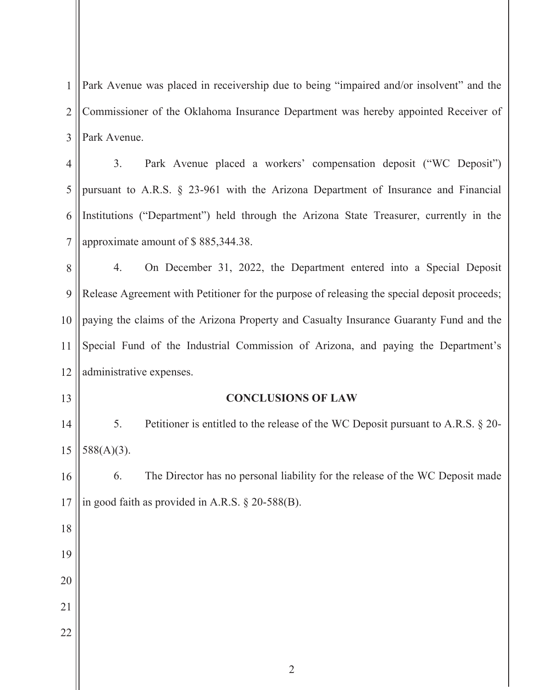1 2 3 Park Avenue was placed in receivership due to being "impaired and/or insolvent" and the Commissioner of the Oklahoma Insurance Department was hereby appointed Receiver of Park Avenue.

4 5 6 7 3. Park Avenue placed a workers' compensation deposit ("WC Deposit") pursuant to A.R.S. § 23-961 with the Arizona Department of Insurance and Financial Institutions ("Department") held through the Arizona State Treasurer, currently in the approximate amount of \$ 885,344.38.

8 9 10 11 12 4. On December 31, 2022, the Department entered into a Special Deposit Release Agreement with Petitioner for the purpose of releasing the special deposit proceeds; paying the claims of the Arizona Property and Casualty Insurance Guaranty Fund and the Special Fund of the Industrial Commission of Arizona, and paying the Department's administrative expenses.

**CONCLUSIONS OF LAW**

13

18

19

20

21

22

14 15 5. Petitioner is entitled to the release of the WC Deposit pursuant to A.R.S. § 20- 588(A)(3).

16 17 6. The Director has no personal liability for the release of the WC Deposit made in good faith as provided in A.R.S. § 20-588(B).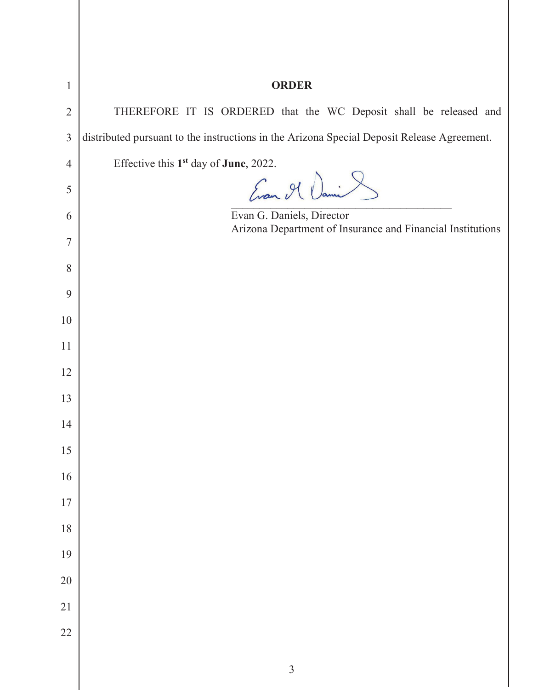| 1              | <b>ORDER</b>                                                                               |
|----------------|--------------------------------------------------------------------------------------------|
| $\overline{2}$ | THEREFORE IT IS ORDERED that the WC Deposit shall be released and                          |
| $\overline{3}$ | distributed pursuant to the instructions in the Arizona Special Deposit Release Agreement. |
| $\overline{4}$ | Effective this 1 <sup>st</sup> day of <b>June</b> , 2022.                                  |
| 5              | Evan Il Dani &                                                                             |
| 6              | Evan G. Daniels, Director<br>Arizona Department of Insurance and Financial Institutions    |
| 7              |                                                                                            |
| 8              |                                                                                            |
| 9              |                                                                                            |
| 10             |                                                                                            |
| 11             |                                                                                            |
| 12             |                                                                                            |
| 13             |                                                                                            |
| 14             |                                                                                            |
| 15             |                                                                                            |
| 16             |                                                                                            |
| 17             |                                                                                            |
| 18             |                                                                                            |
| 19             |                                                                                            |
| 20             |                                                                                            |
| 21             |                                                                                            |
| 22             |                                                                                            |
|                | $\overline{3}$                                                                             |